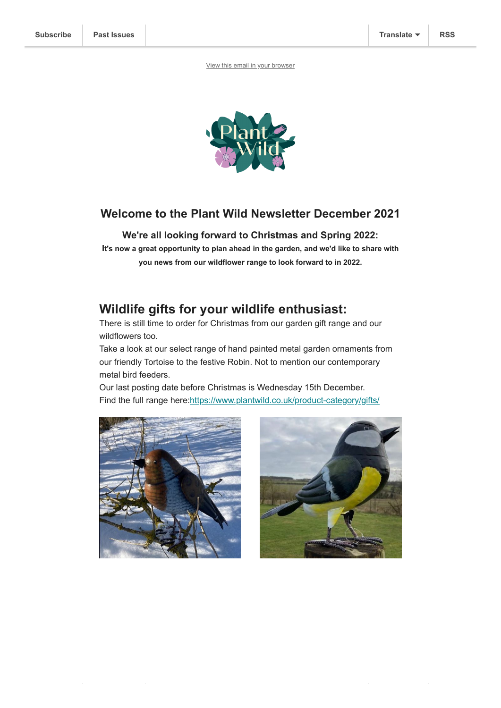[View this email in your browser](https://mailchi.mp/9ecda9966672/plant-wild-december-newsletter-5581936?e=[UNIQID])



#### **Welcome to the Plant Wild Newsletter December 2021**

#### **We're all looking forward to Christmas and Spring 2022:**

**It's now a great opportunity to plan ahead in the garden, and we'd like to share with you news from our wildflower range to look forward to in 2022.**

## **Wildlife gifts for your wildlife enthusiast:**

There is still time to order for Christmas from our garden gift range and our wildflowers too.

Take a look at our select range of hand painted metal garden ornaments from our friendly Tortoise to the festive Robin. Not to mention our contemporary metal bird feeders.

Our last posting date before Christmas is Wednesday 15th December. Find the full range here:<https://www.plantwild.co.uk/product-category/gifts/>



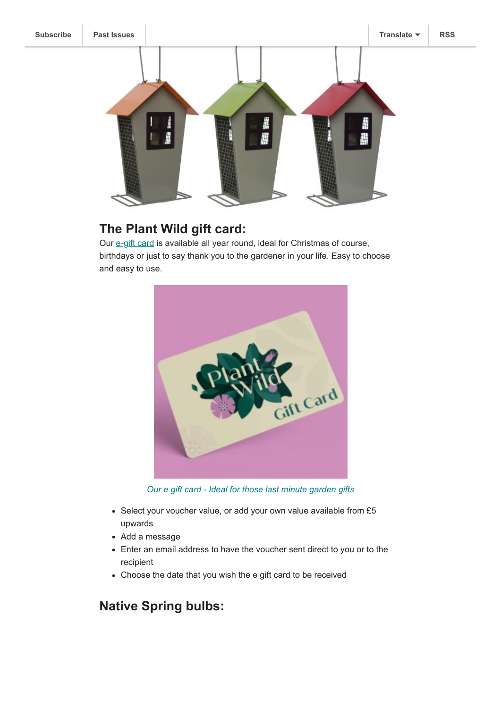

# **The Plant Wild gift card:**

Our [e-gift card](https://www.plantwild.co.uk/product-category/gift-cards/) is available all year round, ideal for Christmas of course, birthdays or just to say thank you to the gardener in your life. Easy to choose and easy to use.



*[Our e gift card - Ideal for those last minute garden gifts](https://www.plantwild.co.uk/product-category/gift-cards/)*

- Select your voucher value, or add your own value available from £5 upwards
- Add a message
- Enter an email address to have the voucher sent direct to you or to the recipient
- Choose the date that you wish the e gift card to be received

# **Native Spring bulbs:**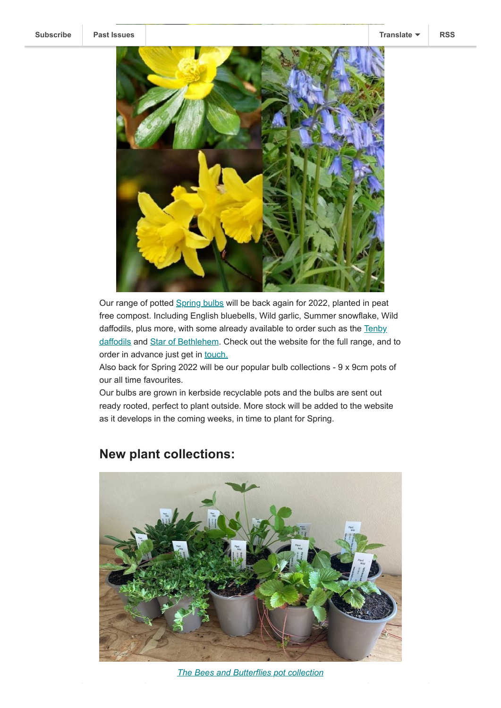

Our range of potted [Spring bulbs](https://www.plantwild.co.uk/product-category/woodland-and-shade-wildflowers/) will be back again for 2022, planted in peat free compost. Including English bluebells, Wild garlic, Summer snowflake, Wild daffodils, plus more, with some already available to order such as the Tenby [daffodils and Star of Bethlehem. Check out the website for the full range, and](https://www.plantwild.co.uk/product/tenby-daffodil/) to order in advance just get in [touch.](https://www.plantwild.co.uk/contact-us/)

Also back for Spring 2022 will be our popular bulb collections - 9 x 9cm pots of our all time favourites.

Our bulbs are grown in kerbside recyclable pots and the bulbs are sent out ready rooted, perfect to plant outside. More stock will be added to the website as it develops in the coming weeks, in time to plant for Spring.



## **New plant collections:**

*[The Bees and Butterflies pot collection](https://www.plantwild.co.uk/product/bees-and-butterflies-wildflower-collection/)*